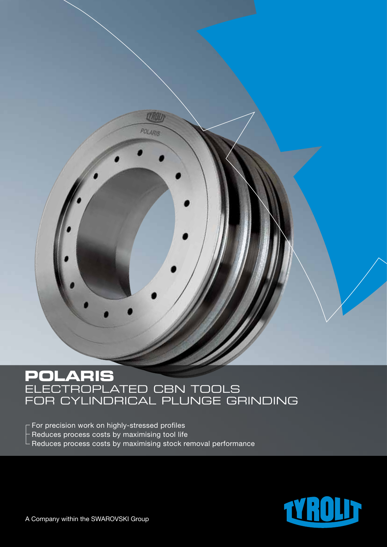# **POLARIS** ELECTROPLATED CBN FOR CYLINDRICAL PLUNGE

**LYROU** 

POLARIS

For precision work on highly-stressed profiles  $-$  Reduces process costs by maximising tool life  $\mathrel{\rule{0pt}{\mathrel{\rule{0pt}{0.5pt}}}}$  Reduces process costs by maximising stock removal performance

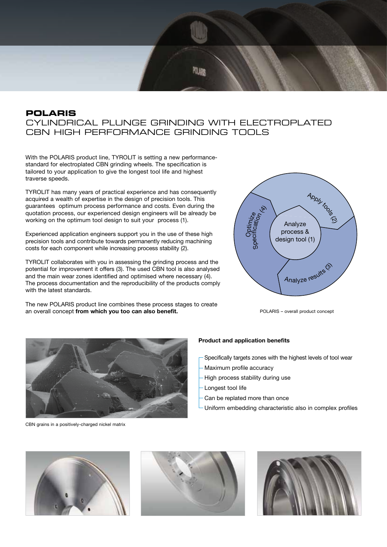### **POLARIS**  CYLINDRICAL PLUNGE GRINDING WITH ELECTROPLATED CBN HIGH PERFORMANCE GRINDING TOOLS

With the POLARIS product line, TYROLIT is setting a new performancestandard for electroplated CBN grinding wheels. The specification is tailored to your application to give the longest tool life and highest traverse speeds.

TYROLIT has many years of practical experience and has consequently acquired a wealth of expertise in the design of precision tools. This guarantees optimum process performance and costs. Even during the quotation process, our experienced design engineers will be already be working on the optimum tool design to suit your process (1).

Experienced application engineers support you in the use of these high precision tools and contribute towards permanently reducing machining costs for each component while increasing process stability (2).

TYROLIT collaborates with you in assessing the grinding process and the potential for improvement it offers (3). The used CBN tool is also analysed and the main wear zones identified and optimised where necessary (4). The process documentation and the reproducibility of the products comply with the latest standards.

The new POLARIS product line combines these process stages to create an overall concept **from which you too can also benefit.**



POLARIS – overall product concept



CBN grains in a positively-charged nickel matrix

#### **Product and application benefits**

- Specifically targets zones with the highest levels of tool wear
- Maximum profile accuracy
- High process stability during use
- Longest tool life
- Can be replated more than once
- Uniform embedding characteristic also in complex profiles





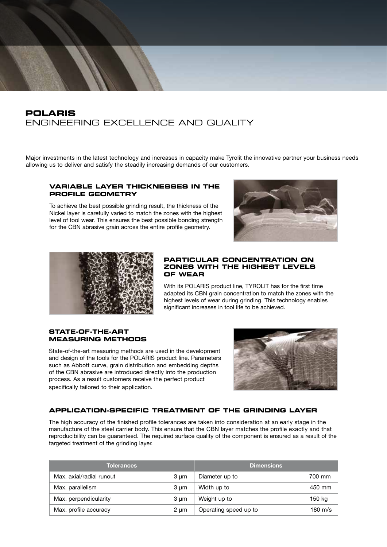## **POLARIS**  ENGINEERING EXCELLENCE AND QUALITY

Major investments in the latest technology and increases in capacity make Tyrolit the innovative partner your business needs allowing us to deliver and satisfy the steadily increasing demands of our customers.

#### **Variable layer thicknesses in the profile geometry**

To achieve the best possible grinding result, the thickness of the Nickel layer is carefully varied to match the zones with the highest level of tool wear. This ensures the best possible bonding strength for the CBN abrasive grain across the entire profile geometry.





#### **PARTICULAR CONCENTRATION ON ZONES WITH THE HIGHEST LEVELS OF WEAR**

With its POLARIS product line, TYROLIT has for the first time adapted its CBN grain concentration to match the zones with the highest levels of wear during grinding. This technology enables significant increases in tool life to be achieved.

#### **STATE-OF-THE-ART MEASURING METHODS**

State-of-the-art measuring methods are used in the development and design of the tools for the POLARIS product line. Parameters such as Abbott curve, grain distribution and embedding depths of the CBN abrasive are introduced directly into the production process. As a result customers receive the perfect product specifically tailored to their application.



#### **Application-specific treatment of the grinding layer**

The high accuracy of the finished profile tolerances are taken into consideration at an early stage in the manufacture of the steel carrier body. This ensure that the CBN layer matches the profile exactly and that reproducibility can be guaranteed. The required surface quality of the component is ensured as a result of the targeted treatment of the grinding layer.

| <b>Tolerances</b>        |      | <b>Dimensions</b>     |         |
|--------------------------|------|-----------------------|---------|
| Max. axial/radial runout | 3 um | Diameter up to        | 700 mm  |
| Max. parallelism         | 3 um | Width up to           | 450 mm  |
| Max. perpendicularity    | 3 um | Weight up to          | 150 kg  |
| Max. profile accuracy    | 2 um | Operating speed up to | 180 m/s |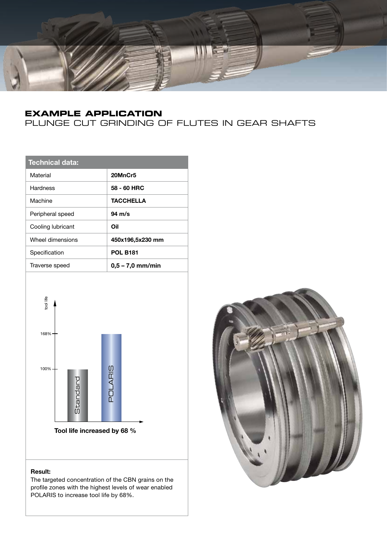

## **EXAMPLE APPLICATION**

## PLUNGE CUT GRINDING OF FLUTES IN GEAR SHAFTS

| <b>Technical data:</b> |                    |
|------------------------|--------------------|
| Material               | 20MnCr5            |
| Hardness               | 58 - 60 HRC        |
| Machine                | TACCHELLA          |
| Peripheral speed       | 94 m/s             |
| Cooling lubricant      | Oil                |
| Wheel dimensions       | 450x196,5x230 mm   |
| Specification          | <b>POL B181</b>    |
| Traverse speed         | $0.5 - 7.0$ mm/min |
|                        |                    |



#### **Result:**

The targeted concentration of the CBN grains on the profile zones with the highest levels of wear enabled POLARIS to increase tool life by 68%.

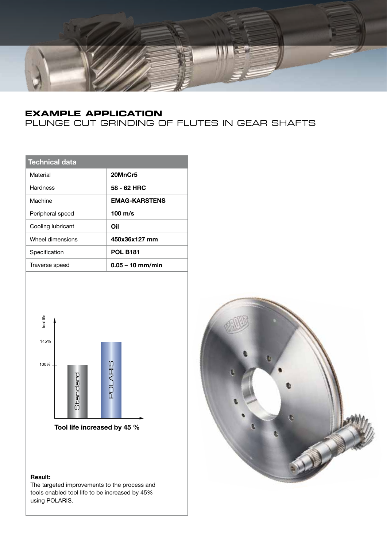

## **EXAMPLE APPLICATION**

## PLUNGE CUT GRINDING OF FLUTES IN GEAR SHAFTS

| <b>Technical data</b> |                      |
|-----------------------|----------------------|
| Material              | 20MnCr5              |
| Hardness              | 58 - 62 HRC          |
| Machine               | <b>EMAG-KARSTENS</b> |
| Peripheral speed      | $100 \text{ m/s}$    |
| Cooling lubricant     | Oil                  |
| Wheel dimensions      | 450x36x127 mm        |
| Specification         | <b>POL B181</b>      |
| Traverse speed        | $0.05 - 10$ mm/min   |
|                       |                      |



**Tool life increased by 45 %**

#### **Result:**

The targeted improvements to the process and tools enabled tool life to be increased by 45% using POLARIS.